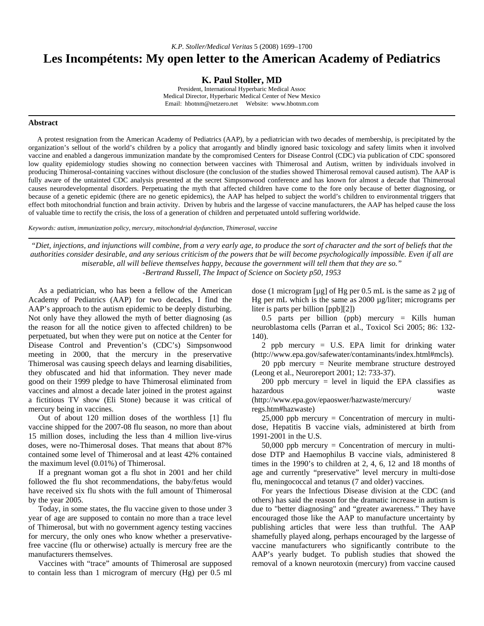*K.P. Stoller/Medical Veritas* 5 (2008) 1699–1700

## **Les Incompétents: My open letter to the American Academy of Pediatrics**

**K. Paul Stoller, MD** 

President, International Hyperbaric Medical Assoc Medical Director, Hyperbaric Medical Center of New Mexico Email: hbotnm@netzero.net Website: www.hbotnm.com

## **Abstract**

 A protest resignation from the American Academy of Pediatrics (AAP), by a pediatrician with two decades of membership, is precipitated by the organization's sellout of the world's children by a policy that arrogantly and blindly ignored basic toxicology and safety limits when it involved vaccine and enabled a dangerous immunization mandate by the compromised Centers for Disease Control (CDC) via publication of CDC sponsored low quality epidemiology studies showing no connection between vaccines with Thimerosal and Autism, written by individuals involved in producing Thimerosal-containing vaccines without disclosure (the conclusion of the studies showed Thimerosal removal caused autism). The AAP is fully aware of the untainted CDC analysis presented at the secret Simpsonwood conference and has known for almost a decade that Thimerosal causes neurodevelopmental disorders. Perpetuating the myth that affected children have come to the fore only because of better diagnosing, or because of a genetic epidemic (there are no genetic epidemics), the AAP has helped to subject the world's children to environmental triggers that effect both mitochondrial function and brain activity. Driven by hubris and the largesse of vaccine manufacturers, the AAP has helped cause the loss of valuable time to rectify the crisis, the loss of a generation of children and perpetuated untold suffering worldwide.

*Keywords: autism, immunization policy, mercury, mitochondrial dysfunction, Thimerosal, vaccine*

*"Diet, injections, and injunctions will combine, from a very early age, to produce the sort of character and the sort of beliefs that the authorities consider desirable, and any serious criticism of the powers that be will become psychologically impossible. Even if all are miserable, all will believe themselves happy, because the government will tell them that they are so." -Bertrand Russell, The Impact of Science on Society p50, 1953* 

 As a pediatrician, who has been a fellow of the American Academy of Pediatrics (AAP) for two decades, I find the AAP's approach to the autism epidemic to be deeply disturbing. Not only have they allowed the myth of better diagnosing (as the reason for all the notice given to affected children) to be perpetuated, but when they were put on notice at the Center for Disease Control and Prevention's (CDC's) Simpsonwood meeting in 2000, that the mercury in the preservative Thimerosal was causing speech delays and learning disabilities, they obfuscated and hid that information. They never made good on their 1999 pledge to have Thimerosal eliminated from vaccines and almost a decade later joined in the protest against a fictitious TV show (Eli Stone) because it was critical of mercury being in vaccines.

 Out of about 120 million doses of the worthless [1] flu vaccine shipped for the 2007-08 flu season, no more than about 15 million doses, including the less than 4 million live-virus doses, were no-Thimerosal doses. That means that about 87% contained some level of Thimerosal and at least 42% contained the maximum level (0.01%) of Thimerosal.

 If a pregnant woman got a flu shot in 2001 and her child followed the flu shot recommendations, the baby/fetus would have received six flu shots with the full amount of Thimerosal by the year 2005.

 Today, in some states, the flu vaccine given to those under 3 year of age are supposed to contain no more than a trace level of Thimerosal, but with no government agency testing vaccines for mercury, the only ones who know whether a preservativefree vaccine (flu or otherwise) actually is mercury free are the manufacturers themselves.

 Vaccines with "trace" amounts of Thimerosal are supposed to contain less than 1 microgram of mercury (Hg) per 0.5 ml dose (1 microgram [ $\mu$ g] of Hg per 0.5 mL is the same as 2  $\mu$ g of Hg per mL which is the same as 2000  $\mu$ g/liter; micrograms per liter is parts per billion [ppb][2])

 0.5 parts per billion (ppb) mercury = Kills human neuroblastoma cells (Parran et al., Toxicol Sci 2005; 86: 132- 140).

 2 ppb mercury = U.S. EPA limit for drinking water (http://www.epa.gov/safewater/contaminants/index.html#mcls).

 20 ppb mercury = Neurite membrane structure destroyed (Leong et al., Neuroreport 2001; 12: 733-37).

200 ppb mercury = level in liquid the EPA classifies as hazardous waste

(http://www.epa.gov/epaoswer/hazwaste/mercury/ regs.htm#hazwaste)

 $25,000$  ppb mercury = Concentration of mercury in multidose, Hepatitis B vaccine vials, administered at birth from 1991-2001 in the U.S.

 $50,000$  ppb mercury = Concentration of mercury in multidose DTP and Haemophilus B vaccine vials, administered 8 times in the 1990's to children at 2, 4, 6, 12 and 18 months of age and currently "preservative" level mercury in multi-dose flu, meningococcal and tetanus (7 and older) vaccines.

 For years the Infectious Disease division at the CDC (and others) has said the reason for the dramatic increase in autism is due to "better diagnosing" and "greater awareness." They have encouraged those like the AAP to manufacture uncertainty by publishing articles that were less than truthful. The AAP shamefully played along, perhaps encouraged by the largesse of vaccine manufacturers who significantly contribute to the AAP's yearly budget. To publish studies that showed the removal of a known neurotoxin (mercury) from vaccine caused